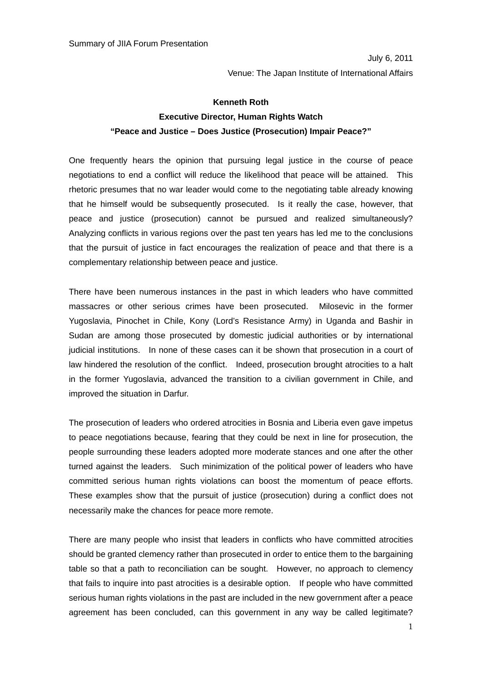July 6, 2011 Venue: The Japan Institute of International Affairs

## **Kenneth Roth Executive Director, Human Rights Watch "Peace and Justice – Does Justice (Prosecution) Impair Peace?"**

One frequently hears the opinion that pursuing legal justice in the course of peace negotiations to end a conflict will reduce the likelihood that peace will be attained. This rhetoric presumes that no war leader would come to the negotiating table already knowing that he himself would be subsequently prosecuted. Is it really the case, however, that peace and justice (prosecution) cannot be pursued and realized simultaneously? Analyzing conflicts in various regions over the past ten years has led me to the conclusions that the pursuit of justice in fact encourages the realization of peace and that there is a complementary relationship between peace and justice.

There have been numerous instances in the past in which leaders who have committed massacres or other serious crimes have been prosecuted. Milosevic in the former Yugoslavia, Pinochet in Chile, Kony (Lord's Resistance Army) in Uganda and Bashir in Sudan are among those prosecuted by domestic judicial authorities or by international judicial institutions. In none of these cases can it be shown that prosecution in a court of law hindered the resolution of the conflict. Indeed, prosecution brought atrocities to a halt in the former Yugoslavia, advanced the transition to a civilian government in Chile, and improved the situation in Darfur.

The prosecution of leaders who ordered atrocities in Bosnia and Liberia even gave impetus to peace negotiations because, fearing that they could be next in line for prosecution, the people surrounding these leaders adopted more moderate stances and one after the other turned against the leaders. Such minimization of the political power of leaders who have committed serious human rights violations can boost the momentum of peace efforts. These examples show that the pursuit of justice (prosecution) during a conflict does not necessarily make the chances for peace more remote.

There are many people who insist that leaders in conflicts who have committed atrocities should be granted clemency rather than prosecuted in order to entice them to the bargaining table so that a path to reconciliation can be sought. However, no approach to clemency that fails to inquire into past atrocities is a desirable option. If people who have committed serious human rights violations in the past are included in the new government after a peace agreement has been concluded, can this government in any way be called legitimate?